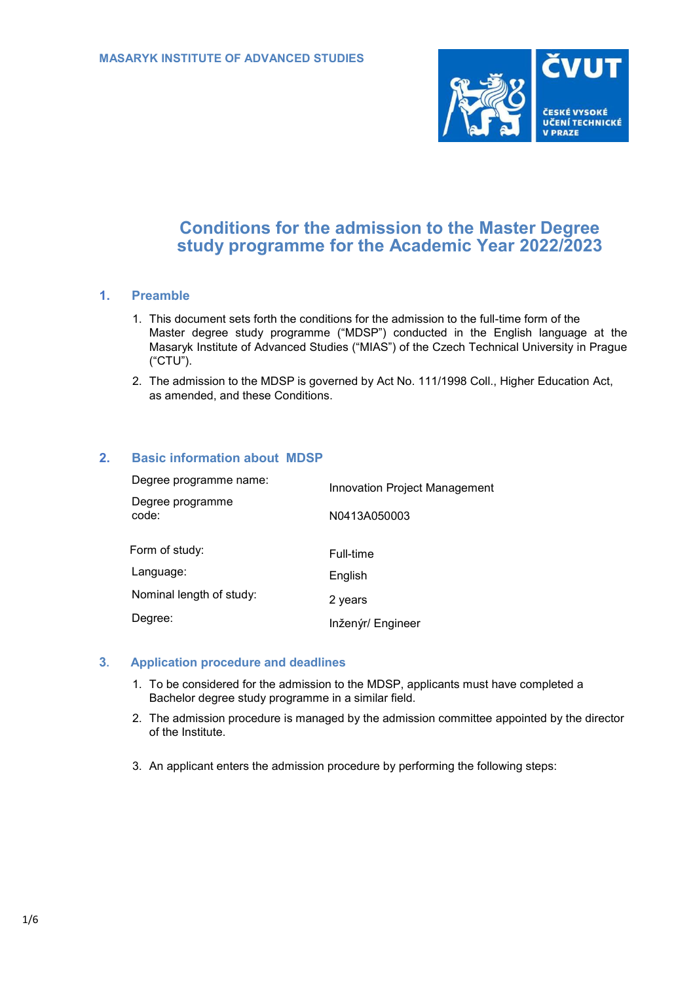

# **Conditions for the admission to the Master Degree study programme for the Academic Year 2022/2023**

## **1. Preamble**

- 1. This document sets forth the conditions for the admission to the full-time form of the Master degree study programme ("MDSP") conducted in the English language at the Masaryk Institute of Advanced Studies ("MIAS") of the Czech Technical University in Prague ("CTU").
- 2. The admission to the MDSP is governed by Act No. 111/1998 Coll., Higher Education Act, as amended, and these Conditions.

## **2. Basic information about MDSP**

| Degree programme name:    | Innovation Project Management |
|---------------------------|-------------------------------|
| Degree programme<br>code: | N0413A050003                  |
| Form of study:            | Full-time                     |
| Language:                 | English                       |
| Nominal length of study:  | 2 years                       |
| Degree:                   | Inženýr/ Engineer             |

#### **3. Application procedure and deadlines**

- 1. To be considered for the admission to the MDSP, applicants must have completed a Bachelor degree study programme in a similar field.
- 2. The admission procedure is managed by the admission committee appointed by the director of the Institute.
- 3. An applicant enters the admission procedure by performing the following steps: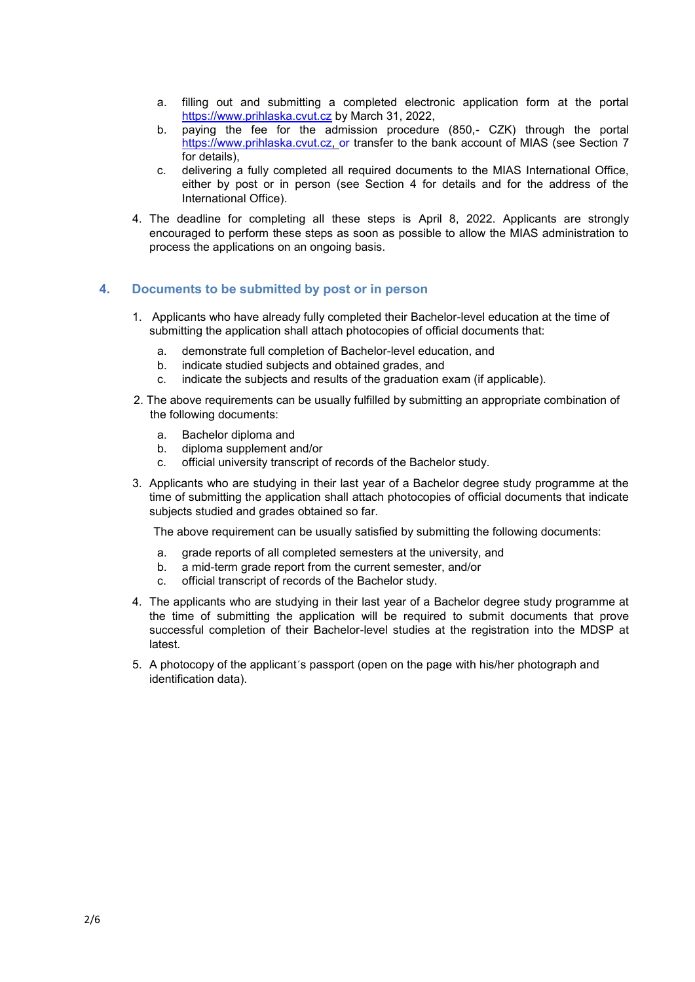- a. filling out and submitting a completed electronic application form at the portal [https://www.prihlaska.cvut.cz](https://www.prihlaska.cvut.cz/) [by March 31, 2022,](https://www.prihlaska.cvut.cz/)
- b. paying the fee for the admission procedure (850,- CZK) through the portal [https://www.prihlaska.cvut.cz, o](https://www.prihlaska.cvut.cz/)r transfer to the bank account of MIAS (see Section 7 for details),
- c. delivering a fully completed all required documents to the MIAS International Office, either by post or in person (see Section 4 for details and for the address of the International Office).
- 4. The deadline for completing all these steps is April 8, 2022. Applicants are strongly encouraged to perform these steps as soon as possible to allow the MIAS administration to process the applications on an ongoing basis.

## **4. Documents to be submitted by post or in person**

- 1. Applicants who have already fully completed their Bachelor-level education at the time of submitting the application shall attach photocopies of official documents that:
	- a. demonstrate full completion of Bachelor-level education, and
	- b. indicate studied subjects and obtained grades, and
	- c. indicate the subjects and results of the graduation exam (if applicable).
- 2. The above requirements can be usually fulfilled by submitting an appropriate combination of the following documents:
	- a. Bachelor diploma and
	- b. diploma supplement and/or
	- c. official university transcript of records of the Bachelor study.
- 3. Applicants who are studying in their last year of a Bachelor degree study programme at the time of submitting the application shall attach photocopies of official documents that indicate subjects studied and grades obtained so far.

The above requirement can be usually satisfied by submitting the following documents:

- a. grade reports of all completed semesters at the university, and
- b. a mid-term grade report from the current semester, and/or
- c. official transcript of records of the Bachelor study.
- 4. The applicants who are studying in their last year of a Bachelor degree study programme at the time of submitting the application will be required to submit documents that prove successful completion of their Bachelor-level studies at the registration into the MDSP at latest.
- 5. A photocopy of the applicant´s passport (open on the page with his/her photograph and identification data).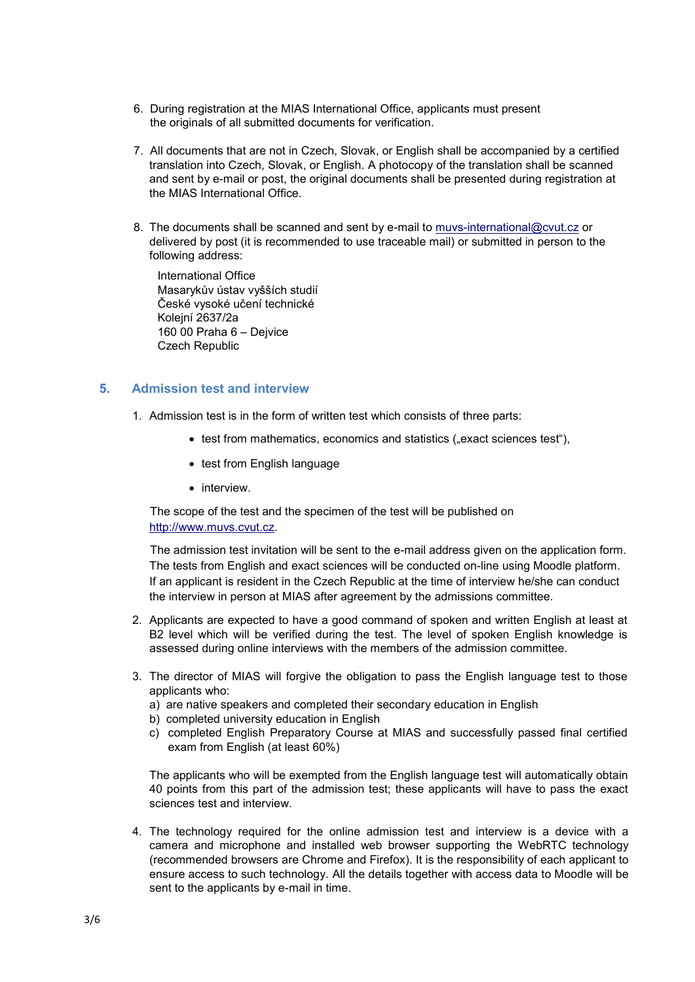- 6. During registration at the MIAS International Office, applicants must present the originals of all submitted documents for verification.
- 7. All documents that are not in Czech, Slovak, or English shall be accompanied by a certified translation into Czech, Slovak, or English. A photocopy of the translation shall be scanned and sent by e-mail or post, the original documents shall be presented during registration at the MIAS International Office.
- 8. The documents shall be scanned and sent by e-mail to [muvs-international@cvut.cz](mailto:muvs-international@cvut.cz) or delivered by post (it is recommended to use traceable mail) or submitted in person to the following address:

International Office Masarykův ústav vyšších studií České vysoké učení technické Kolejní 2637/2a 160 00 Praha 6 – Dejvice Czech Republic

## **5. Admission test and interview**

- 1. Admission test is in the form of written test which consists of three parts:
	- test from mathematics, economics and statistics ("exact sciences test"),
	- test from English language
	- interview.

The scope of the test and the specimen of the test will be published on [http://www.muvs.cvut.cz.](http://www.muvs.cvut.cz/)

The admission test invitation will be sent to the e-mail address given on the application form. The tests from English and exact sciences will be conducted on-line using Moodle platform. If an applicant is resident in the Czech Republic at the time of interview he/she can conduct the interview in person at MIAS after agreement by the admissions committee.

- 2. Applicants are expected to have a good command of spoken and written English at least at B2 level which will be verified during the test. The level of spoken English knowledge is assessed during online interviews with the members of the admission committee.
- 3. The director of MIAS will forgive the obligation to pass the English language test to those applicants who:
	- a) are native speakers and completed their secondary education in English
	- b) completed university education in English
	- c) completed English Preparatory Course at MIAS and successfully passed final certified exam from English (at least 60%)

The applicants who will be exempted from the English language test will automatically obtain 40 points from this part of the admission test; these applicants will have to pass the exact sciences test and interview.

4. The technology required for the online admission test and interview is a device with a camera and microphone and installed web browser supporting the WebRTC technology (recommended browsers are Chrome and Firefox). It is the responsibility of each applicant to ensure access to such technology. All the details together with access data to Moodle will be sent to the applicants by e-mail in time.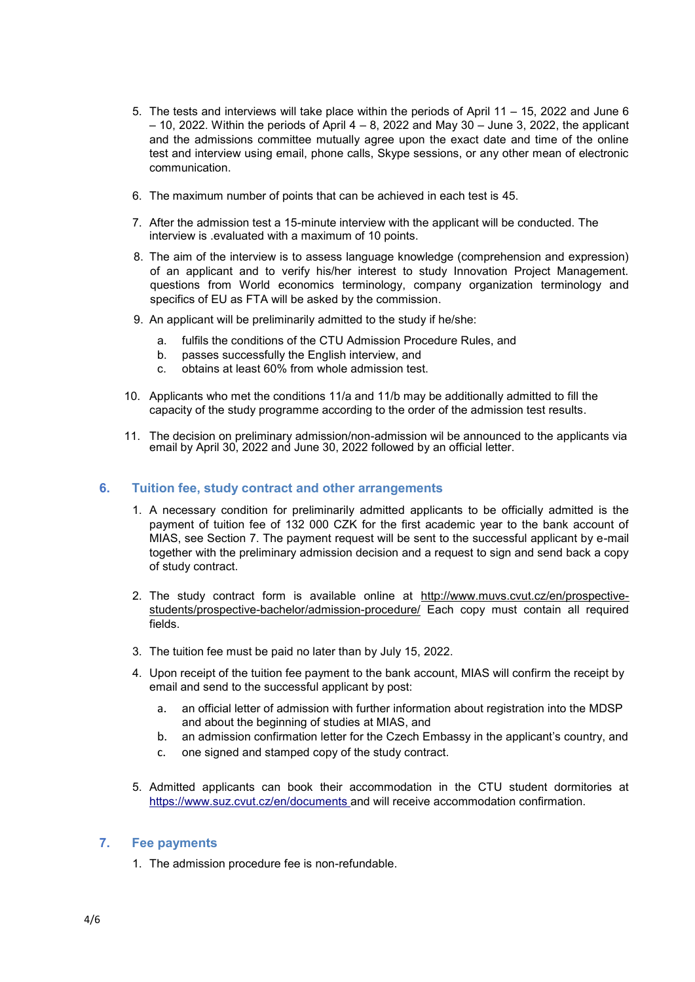- 5. The tests and interviews will take place within the periods of April 11 15, 2022 and June 6  $-$  10, 2022. Within the periods of April 4  $-$  8, 2022 and May 30  $-$  June 3, 2022, the applicant and the admissions committee mutually agree upon the exact date and time of the online test and interview using email, phone calls, Skype sessions, or any other mean of electronic communication.
- 6. The maximum number of points that can be achieved in each test is 45.
- 7. After the admission test a 15-minute interview with the applicant will be conducted. The interview is .evaluated with a maximum of 10 points.
- 8. The aim of the interview is to assess language knowledge (comprehension and expression) of an applicant and to verify his/her interest to study Innovation Project Management. questions from World economics terminology, company organization terminology and specifics of EU as FTA will be asked by the commission.
- 9. An applicant will be preliminarily admitted to the study if he/she:
	- a. fulfils the conditions of the CTU Admission Procedure Rules, and
	- b. passes successfully the English interview, and
	- c. obtains at least 60% from whole admission test.
- 10. Applicants who met the conditions 11/a and 11/b may be additionally admitted to fill the capacity of the study programme according to the order of the admission test results.
- 11. The decision on preliminary admission/non-admission wil be announced to the applicants via email by April 30, 2022 and June 30, 2022 followed by an official letter.

#### **6. Tuition fee, study contract and other arrangements**

- 1. A necessary condition for preliminarily admitted applicants to be officially admitted is the payment of tuition fee of 132 000 CZK for the first academic year to the bank account of MIAS, see Section 7. The payment request will be sent to the successful applicant by e-mail together with the preliminary admission decision and a request to sign and send back a copy of study contract.
- 2. The study contract form is available online at [http://www.muvs.cvut.cz/en/prospective](http://www.muvs.cvut.cz/en/prospective-students/prospective-bachelor/admission-procedure/)[students/prospective-bachelor/admission-procedure/](http://www.muvs.cvut.cz/en/prospective-students/prospective-bachelor/admission-procedure/) Each copy must contain all required fields.
- 3. The tuition fee must be paid no later than by July 15, 2022.
- 4. Upon receipt of the tuition fee payment to the bank account, MIAS will confirm the receipt by email and send to the successful applicant by post:
	- a. an official letter of admission with further information about registration into the MDSP and about the beginning of studies at MIAS, and
	- b. an admission confirmation letter for the Czech Embassy in the applicant's country, and
	- c. one signed and stamped copy of the study contract.
- 5. Admitted applicants can book their accommodation in the CTU student dormitories at [https://www.suz.cvut.cz/en/documents a](https://www.suz.cvut.cz/en/documents)nd will receive accommodation confirmation.

#### **7. Fee payments**

1. The admission procedure fee is non-refundable.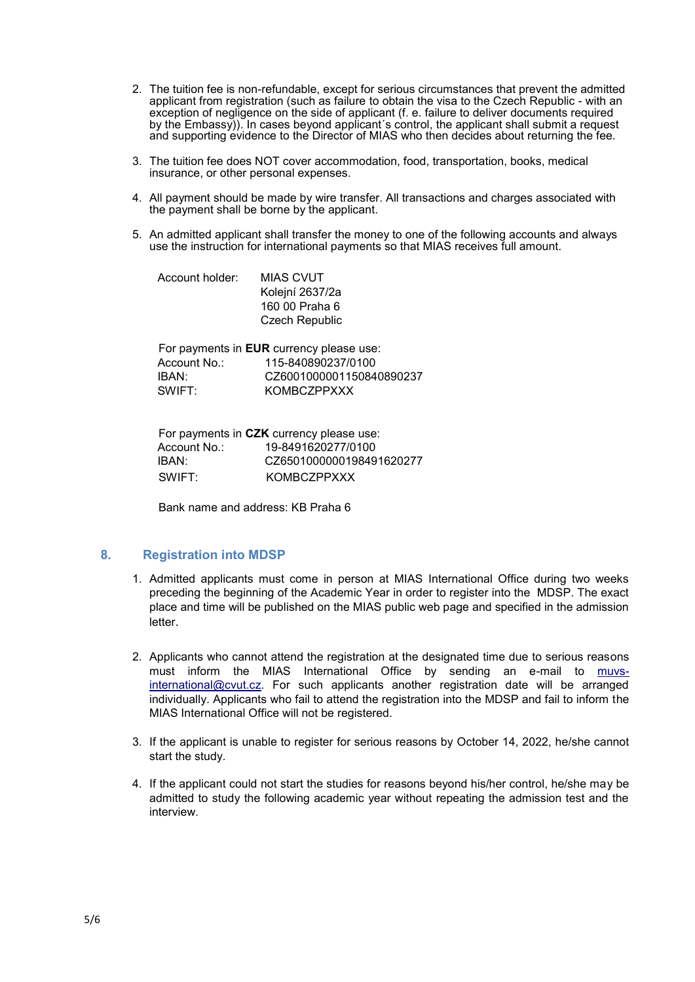- 2. The tuition fee is non-refundable, except for serious circumstances that prevent the admitted applicant from registration (such as failure to obtain the visa to the Czech Republic - with an exception of negligence on the side of applicant (f. e. failure to deliver documents required by the Embassy)). In cases beyond applicant´s control, the applicant shall submit a request and supporting evidence to the Director of MIAS who then decides about returning the fee.
- 3. The tuition fee does NOT cover accommodation, food, transportation, books, medical insurance, or other personal expenses.
- 4. All payment should be made by wire transfer. All transactions and charges associated with the payment shall be borne by the applicant.
- 5. An admitted applicant shall transfer the money to one of the following accounts and always use the instruction for international payments so that MIAS receives full amount.

| Account holder: | MIAS CVUT             |
|-----------------|-----------------------|
|                 | Kolejní 2637/2a       |
|                 | 160 00 Praha 6        |
|                 | <b>Czech Republic</b> |
|                 |                       |

|              | For payments in <b>EUR</b> currency please use: |
|--------------|-------------------------------------------------|
| Account No.: | 115-840890237/0100                              |
| IBAN:        | CZ6001000001150840890237                        |
| SWIFT:       | <b>KOMBCZPPXXX</b>                              |

| For payments in CZK currency please use: |                          |  |
|------------------------------------------|--------------------------|--|
| Account No.:                             | 19-8491620277/0100       |  |
| IBAN:                                    | CZ6501000000198491620277 |  |
| SWIFT:                                   | KOMBCZPPXXX              |  |

Bank name and address: KB Praha 6

#### **8. Registration into MDSP**

- 1. Admitted applicants must come in person at MIAS International Office during two weeks preceding the beginning of the Academic Year in order to register into the MDSP. The exact place and time will be published on the MIAS public web page and specified in the admission letter.
- 2. Applicants who cannot attend the registration at the designated time due to serious reasons must inform the MIAS International Office by sending an e-mail to muvsinternational@cvut.cz. For such applicants another registration date will be arranged individually. Applicants who fail to attend the registration into the MDSP and fail to inform the MIAS International Office will not be registered.
- 3. If the applicant is unable to register for serious reasons by October 14, 2022, he/she cannot start the study.
- 4. If the applicant could not start the studies for reasons beyond his/her control, he/she may be admitted to study the following academic year without repeating the admission test and the interview.